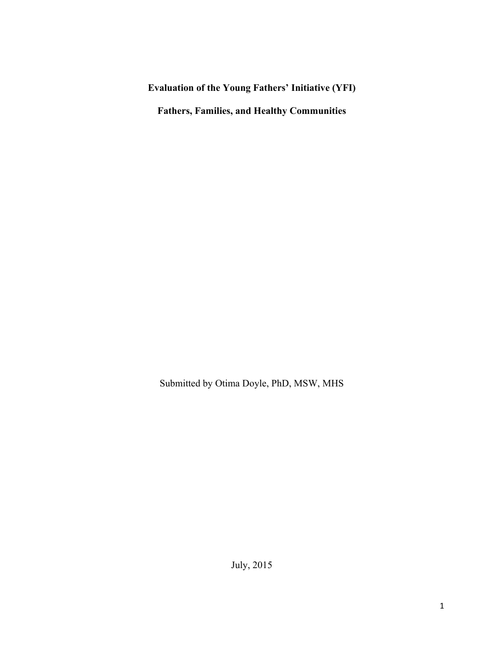**Evaluation of the Young Fathers' Initiative (YFI)** 

**Fathers, Families, and Healthy Communities**

Submitted by Otima Doyle, PhD, MSW, MHS

July, 2015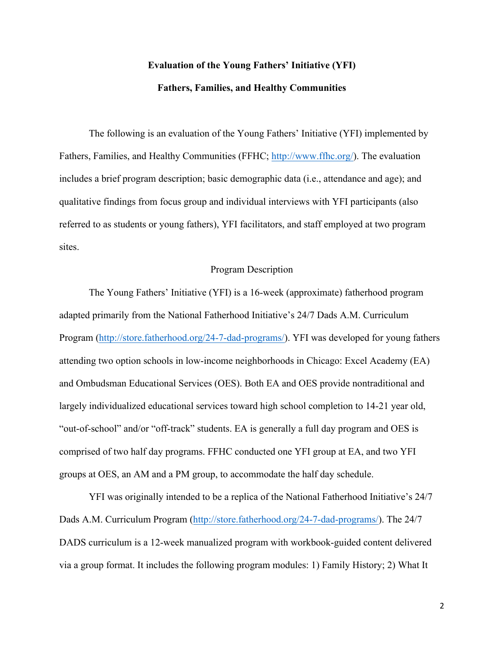# **Evaluation of the Young Fathers' Initiative (YFI) Fathers, Families, and Healthy Communities**

The following is an evaluation of the Young Fathers' Initiative (YFI) implemented by Fathers, Families, and Healthy Communities (FFHC; http://www.ffhc.org/). The evaluation includes a brief program description; basic demographic data (i.e., attendance and age); and qualitative findings from focus group and individual interviews with YFI participants (also referred to as students or young fathers), YFI facilitators, and staff employed at two program sites.

#### Program Description

The Young Fathers' Initiative (YFI) is a 16-week (approximate) fatherhood program adapted primarily from the National Fatherhood Initiative's 24/7 Dads A.M. Curriculum Program (http://store.fatherhood.org/24-7-dad-programs/). YFI was developed for young fathers attending two option schools in low-income neighborhoods in Chicago: Excel Academy (EA) and Ombudsman Educational Services (OES). Both EA and OES provide nontraditional and largely individualized educational services toward high school completion to 14-21 year old, "out-of-school" and/or "off-track" students. EA is generally a full day program and OES is comprised of two half day programs. FFHC conducted one YFI group at EA, and two YFI groups at OES, an AM and a PM group, to accommodate the half day schedule.

YFI was originally intended to be a replica of the National Fatherhood Initiative's 24/7 Dads A.M. Curriculum Program (http://store.fatherhood.org/24-7-dad-programs/). The 24/7 DADS curriculum is a 12-week manualized program with workbook-guided content delivered via a group format. It includes the following program modules: 1) Family History; 2) What It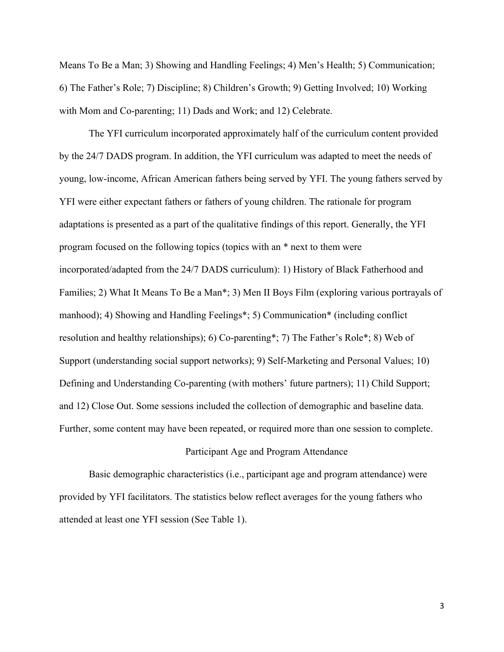Means To Be a Man; 3) Showing and Handling Feelings; 4) Men's Health; 5) Communication; 6) The Father's Role; 7) Discipline; 8) Children's Growth; 9) Getting Involved; 10) Working with Mom and Co-parenting; 11) Dads and Work; and 12) Celebrate.

The YFI curriculum incorporated approximately half of the curriculum content provided by the 24/7 DADS program. In addition, the YFI curriculum was adapted to meet the needs of young, low-income, African American fathers being served by YFI. The young fathers served by YFI were either expectant fathers or fathers of young children. The rationale for program adaptations is presented as a part of the qualitative findings of this report. Generally, the YFI program focused on the following topics (topics with an \* next to them were incorporated/adapted from the 24/7 DADS curriculum): 1) History of Black Fatherhood and Families; 2) What It Means To Be a Man\*; 3) Men II Boys Film (exploring various portrayals of manhood); 4) Showing and Handling Feelings\*; 5) Communication\* (including conflict resolution and healthy relationships); 6) Co-parenting\*; 7) The Father's Role\*; 8) Web of Support (understanding social support networks); 9) Self-Marketing and Personal Values; 10) Defining and Understanding Co-parenting (with mothers' future partners); 11) Child Support; and 12) Close Out. Some sessions included the collection of demographic and baseline data. Further, some content may have been repeated, or required more than one session to complete.

#### Participant Age and Program Attendance

Basic demographic characteristics (i.e., participant age and program attendance) were provided by YFI facilitators. The statistics below reflect averages for the young fathers who attended at least one YFI session (See Table 1).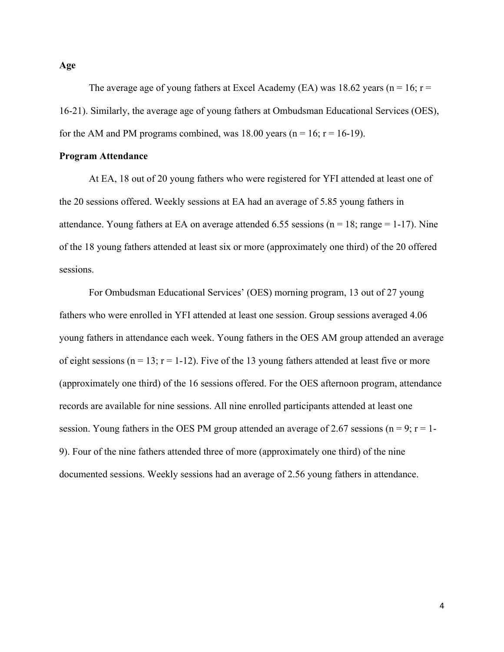The average age of young fathers at Excel Academy (EA) was 18.62 years ( $n = 16$ ;  $r =$ 16-21). Similarly, the average age of young fathers at Ombudsman Educational Services (OES), for the AM and PM programs combined, was 18.00 years ( $n = 16$ ;  $r = 16-19$ ).

#### **Program Attendance**

At EA, 18 out of 20 young fathers who were registered for YFI attended at least one of the 20 sessions offered. Weekly sessions at EA had an average of 5.85 young fathers in attendance. Young fathers at EA on average attended 6.55 sessions ( $n = 18$ ; range = 1-17). Nine of the 18 young fathers attended at least six or more (approximately one third) of the 20 offered sessions.

For Ombudsman Educational Services' (OES) morning program, 13 out of 27 young fathers who were enrolled in YFI attended at least one session. Group sessions averaged 4.06 young fathers in attendance each week. Young fathers in the OES AM group attended an average of eight sessions ( $n = 13$ ;  $r = 1-12$ ). Five of the 13 young fathers attended at least five or more (approximately one third) of the 16 sessions offered. For the OES afternoon program, attendance records are available for nine sessions. All nine enrolled participants attended at least one session. Young fathers in the OES PM group attended an average of 2.67 sessions ( $n = 9$ ;  $r = 1$ -9). Four of the nine fathers attended three of more (approximately one third) of the nine documented sessions. Weekly sessions had an average of 2.56 young fathers in attendance.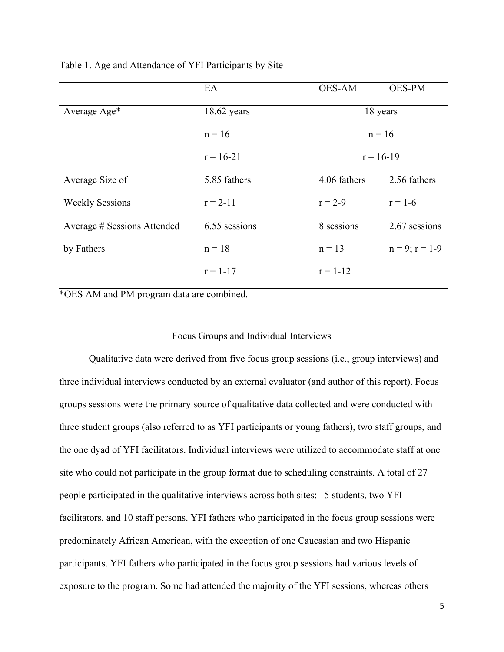|                             | EA            | <b>OES-AM</b> | <b>OES-PM</b>       |
|-----------------------------|---------------|---------------|---------------------|
| Average Age*                | 18.62 years   | 18 years      |                     |
|                             | $n = 16$      | $n = 16$      |                     |
|                             | $r = 16-21$   | $r = 16-19$   |                     |
| Average Size of             | 5.85 fathers  | 4.06 fathers  | 2.56 fathers        |
| <b>Weekly Sessions</b>      | $r = 2 - 11$  | $r = 2-9$     | $r = 1 - 6$         |
| Average # Sessions Attended | 6.55 sessions | 8 sessions    | 2.67 sessions       |
| by Fathers                  | $n = 18$      | $n = 13$      | $n = 9$ ; $r = 1-9$ |
|                             | $r = 1-17$    | $r = 1 - 12$  |                     |

Table 1. Age and Attendance of YFI Participants by Site

\*OES AM and PM program data are combined.

### Focus Groups and Individual Interviews

Qualitative data were derived from five focus group sessions (i.e., group interviews) and three individual interviews conducted by an external evaluator (and author of this report). Focus groups sessions were the primary source of qualitative data collected and were conducted with three student groups (also referred to as YFI participants or young fathers), two staff groups, and the one dyad of YFI facilitators. Individual interviews were utilized to accommodate staff at one site who could not participate in the group format due to scheduling constraints. A total of 27 people participated in the qualitative interviews across both sites: 15 students, two YFI facilitators, and 10 staff persons. YFI fathers who participated in the focus group sessions were predominately African American, with the exception of one Caucasian and two Hispanic participants. YFI fathers who participated in the focus group sessions had various levels of exposure to the program. Some had attended the majority of the YFI sessions, whereas others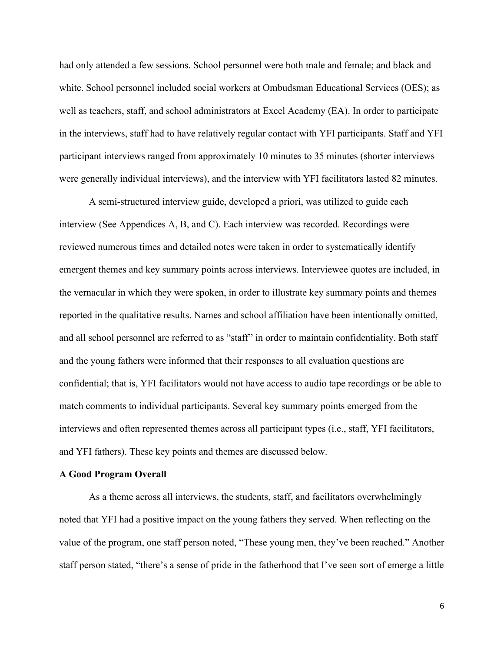had only attended a few sessions. School personnel were both male and female; and black and white. School personnel included social workers at Ombudsman Educational Services (OES); as well as teachers, staff, and school administrators at Excel Academy (EA). In order to participate in the interviews, staff had to have relatively regular contact with YFI participants. Staff and YFI participant interviews ranged from approximately 10 minutes to 35 minutes (shorter interviews were generally individual interviews), and the interview with YFI facilitators lasted 82 minutes.

A semi-structured interview guide, developed a priori, was utilized to guide each interview (See Appendices A, B, and C). Each interview was recorded. Recordings were reviewed numerous times and detailed notes were taken in order to systematically identify emergent themes and key summary points across interviews. Interviewee quotes are included, in the vernacular in which they were spoken, in order to illustrate key summary points and themes reported in the qualitative results. Names and school affiliation have been intentionally omitted, and all school personnel are referred to as "staff" in order to maintain confidentiality. Both staff and the young fathers were informed that their responses to all evaluation questions are confidential; that is, YFI facilitators would not have access to audio tape recordings or be able to match comments to individual participants. Several key summary points emerged from the interviews and often represented themes across all participant types (i.e., staff, YFI facilitators, and YFI fathers). These key points and themes are discussed below.

#### **A Good Program Overall**

As a theme across all interviews, the students, staff, and facilitators overwhelmingly noted that YFI had a positive impact on the young fathers they served. When reflecting on the value of the program, one staff person noted, "These young men, they've been reached." Another staff person stated, "there's a sense of pride in the fatherhood that I've seen sort of emerge a little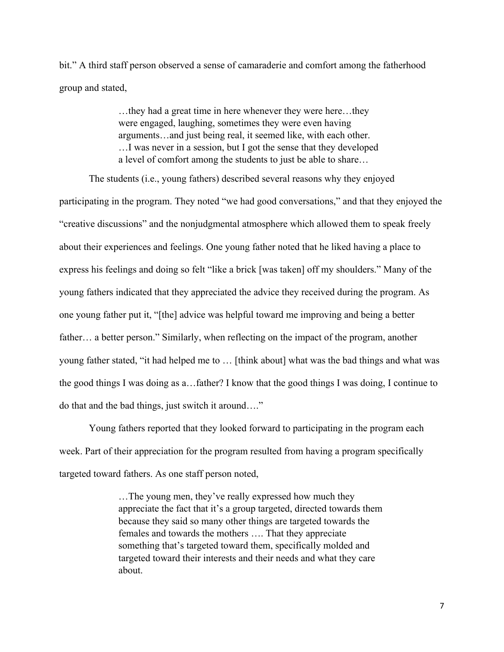bit." A third staff person observed a sense of camaraderie and comfort among the fatherhood group and stated,

> …they had a great time in here whenever they were here…they were engaged, laughing, sometimes they were even having arguments…and just being real, it seemed like, with each other. …I was never in a session, but I got the sense that they developed a level of comfort among the students to just be able to share…

The students (i.e., young fathers) described several reasons why they enjoyed participating in the program. They noted "we had good conversations," and that they enjoyed the "creative discussions" and the nonjudgmental atmosphere which allowed them to speak freely about their experiences and feelings. One young father noted that he liked having a place to express his feelings and doing so felt "like a brick [was taken] off my shoulders." Many of the young fathers indicated that they appreciated the advice they received during the program. As one young father put it, "[the] advice was helpful toward me improving and being a better father… a better person." Similarly, when reflecting on the impact of the program, another young father stated, "it had helped me to … [think about] what was the bad things and what was the good things I was doing as a…father? I know that the good things I was doing, I continue to do that and the bad things, just switch it around…."

Young fathers reported that they looked forward to participating in the program each week. Part of their appreciation for the program resulted from having a program specifically targeted toward fathers. As one staff person noted,

> …The young men, they've really expressed how much they appreciate the fact that it's a group targeted, directed towards them because they said so many other things are targeted towards the females and towards the mothers …. That they appreciate something that's targeted toward them, specifically molded and targeted toward their interests and their needs and what they care about.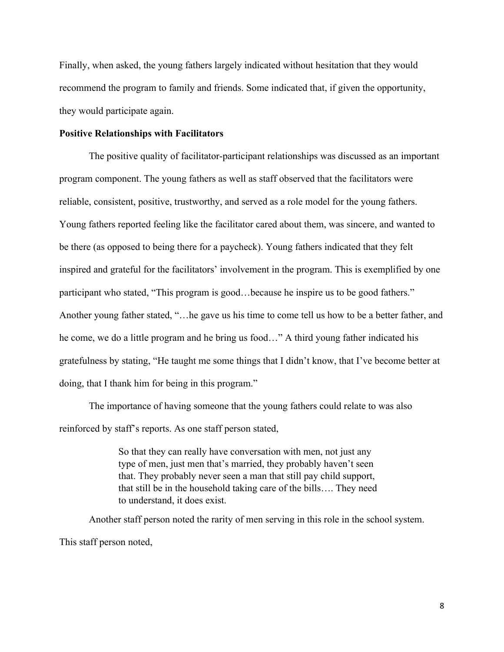Finally, when asked, the young fathers largely indicated without hesitation that they would recommend the program to family and friends. Some indicated that, if given the opportunity, they would participate again.

#### **Positive Relationships with Facilitators**

The positive quality of facilitator-participant relationships was discussed as an important program component. The young fathers as well as staff observed that the facilitators were reliable, consistent, positive, trustworthy, and served as a role model for the young fathers. Young fathers reported feeling like the facilitator cared about them, was sincere, and wanted to be there (as opposed to being there for a paycheck). Young fathers indicated that they felt inspired and grateful for the facilitators' involvement in the program. This is exemplified by one participant who stated, "This program is good…because he inspire us to be good fathers." Another young father stated, "…he gave us his time to come tell us how to be a better father, and he come, we do a little program and he bring us food…" A third young father indicated his gratefulness by stating, "He taught me some things that I didn't know, that I've become better at doing, that I thank him for being in this program."

The importance of having someone that the young fathers could relate to was also reinforced by staff's reports. As one staff person stated,

> So that they can really have conversation with men, not just any type of men, just men that's married, they probably haven't seen that. They probably never seen a man that still pay child support, that still be in the household taking care of the bills…. They need to understand, it does exist.

Another staff person noted the rarity of men serving in this role in the school system. This staff person noted,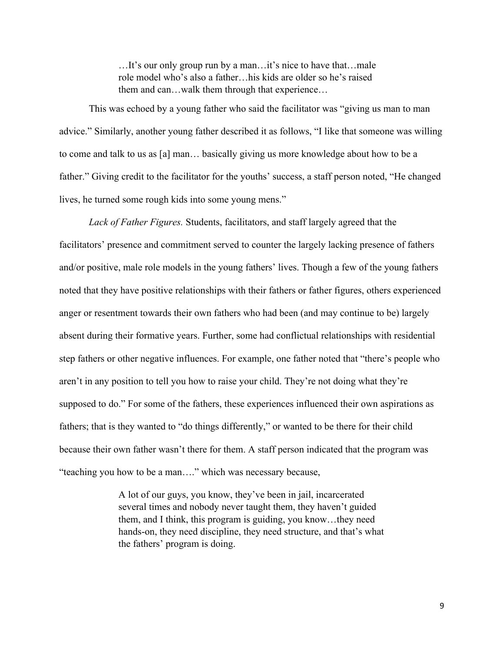…It's our only group run by a man…it's nice to have that…male role model who's also a father…his kids are older so he's raised them and can…walk them through that experience…

This was echoed by a young father who said the facilitator was "giving us man to man advice." Similarly, another young father described it as follows, "I like that someone was willing to come and talk to us as [a] man… basically giving us more knowledge about how to be a father." Giving credit to the facilitator for the youths' success, a staff person noted, "He changed lives, he turned some rough kids into some young mens."

*Lack of Father Figures.* Students, facilitators, and staff largely agreed that the facilitators' presence and commitment served to counter the largely lacking presence of fathers and/or positive, male role models in the young fathers' lives. Though a few of the young fathers noted that they have positive relationships with their fathers or father figures, others experienced anger or resentment towards their own fathers who had been (and may continue to be) largely absent during their formative years. Further, some had conflictual relationships with residential step fathers or other negative influences. For example, one father noted that "there's people who aren't in any position to tell you how to raise your child. They're not doing what they're supposed to do." For some of the fathers, these experiences influenced their own aspirations as fathers; that is they wanted to "do things differently," or wanted to be there for their child because their own father wasn't there for them. A staff person indicated that the program was "teaching you how to be a man…." which was necessary because,

> A lot of our guys, you know, they've been in jail, incarcerated several times and nobody never taught them, they haven't guided them, and I think, this program is guiding, you know…they need hands-on, they need discipline, they need structure, and that's what the fathers' program is doing.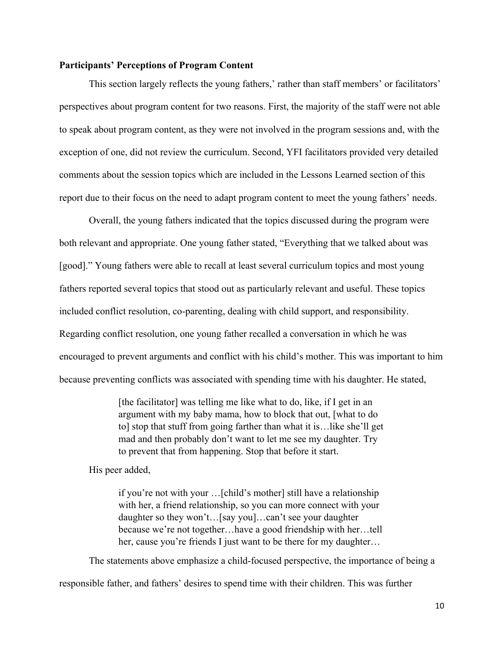#### **Participants' Perceptions of Program Content**

This section largely reflects the young fathers,' rather than staff members' or facilitators' perspectives about program content for two reasons. First, the majority of the staff were not able to speak about program content, as they were not involved in the program sessions and, with the exception of one, did not review the curriculum. Second, YFI facilitators provided very detailed comments about the session topics which are included in the Lessons Learned section of this report due to their focus on the need to adapt program content to meet the young fathers' needs.

Overall, the young fathers indicated that the topics discussed during the program were both relevant and appropriate. One young father stated, "Everything that we talked about was [good]." Young fathers were able to recall at least several curriculum topics and most young fathers reported several topics that stood out as particularly relevant and useful. These topics included conflict resolution, co-parenting, dealing with child support, and responsibility. Regarding conflict resolution, one young father recalled a conversation in which he was encouraged to prevent arguments and conflict with his child's mother. This was important to him because preventing conflicts was associated with spending time with his daughter. He stated,

> [the facilitator] was telling me like what to do, like, if I get in an argument with my baby mama, how to block that out, [what to do to] stop that stuff from going farther than what it is…like she'll get mad and then probably don't want to let me see my daughter. Try to prevent that from happening. Stop that before it start.

His peer added,

if you're not with your …[child's mother] still have a relationship with her, a friend relationship, so you can more connect with your daughter so they won't…[say you]…can't see your daughter because we're not together…have a good friendship with her…tell her, cause you're friends I just want to be there for my daughter…

The statements above emphasize a child-focused perspective, the importance of being a

responsible father, and fathers' desires to spend time with their children. This was further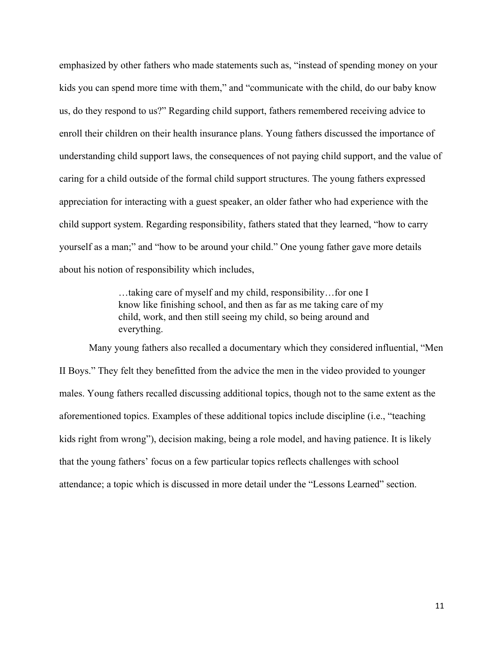emphasized by other fathers who made statements such as, "instead of spending money on your kids you can spend more time with them," and "communicate with the child, do our baby know us, do they respond to us?" Regarding child support, fathers remembered receiving advice to enroll their children on their health insurance plans. Young fathers discussed the importance of understanding child support laws, the consequences of not paying child support, and the value of caring for a child outside of the formal child support structures. The young fathers expressed appreciation for interacting with a guest speaker, an older father who had experience with the child support system. Regarding responsibility, fathers stated that they learned, "how to carry yourself as a man;" and "how to be around your child." One young father gave more details about his notion of responsibility which includes,

> …taking care of myself and my child, responsibility…for one I know like finishing school, and then as far as me taking care of my child, work, and then still seeing my child, so being around and everything.

Many young fathers also recalled a documentary which they considered influential, "Men II Boys." They felt they benefitted from the advice the men in the video provided to younger males. Young fathers recalled discussing additional topics, though not to the same extent as the aforementioned topics. Examples of these additional topics include discipline (i.e., "teaching kids right from wrong"), decision making, being a role model, and having patience. It is likely that the young fathers' focus on a few particular topics reflects challenges with school attendance; a topic which is discussed in more detail under the "Lessons Learned" section.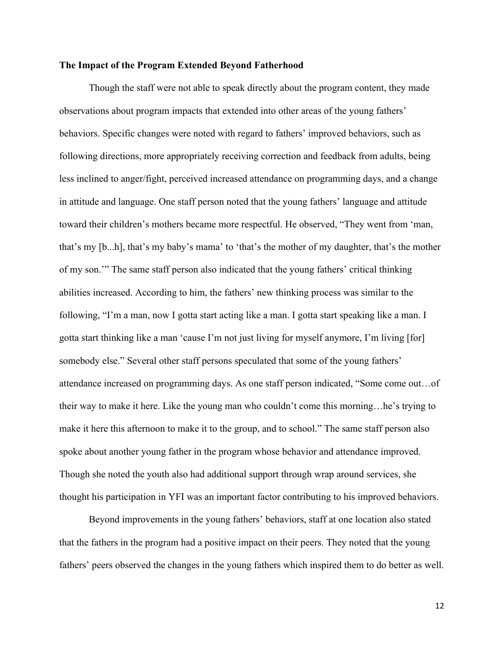#### **The Impact of the Program Extended Beyond Fatherhood**

Though the staff were not able to speak directly about the program content, they made observations about program impacts that extended into other areas of the young fathers' behaviors. Specific changes were noted with regard to fathers' improved behaviors, such as following directions, more appropriately receiving correction and feedback from adults, being less inclined to anger/fight, perceived increased attendance on programming days, and a change in attitude and language. One staff person noted that the young fathers' language and attitude toward their children's mothers became more respectful. He observed, "They went from 'man, that's my [b...h], that's my baby's mama' to 'that's the mother of my daughter, that's the mother of my son.'" The same staff person also indicated that the young fathers' critical thinking abilities increased. According to him, the fathers' new thinking process was similar to the following, "I'm a man, now I gotta start acting like a man. I gotta start speaking like a man. I gotta start thinking like a man 'cause I'm not just living for myself anymore, I'm living [for] somebody else." Several other staff persons speculated that some of the young fathers' attendance increased on programming days. As one staff person indicated, "Some come out…of their way to make it here. Like the young man who couldn't come this morning…he's trying to make it here this afternoon to make it to the group, and to school." The same staff person also spoke about another young father in the program whose behavior and attendance improved. Though she noted the youth also had additional support through wrap around services, she thought his participation in YFI was an important factor contributing to his improved behaviors.

Beyond improvements in the young fathers' behaviors, staff at one location also stated that the fathers in the program had a positive impact on their peers. They noted that the young fathers' peers observed the changes in the young fathers which inspired them to do better as well.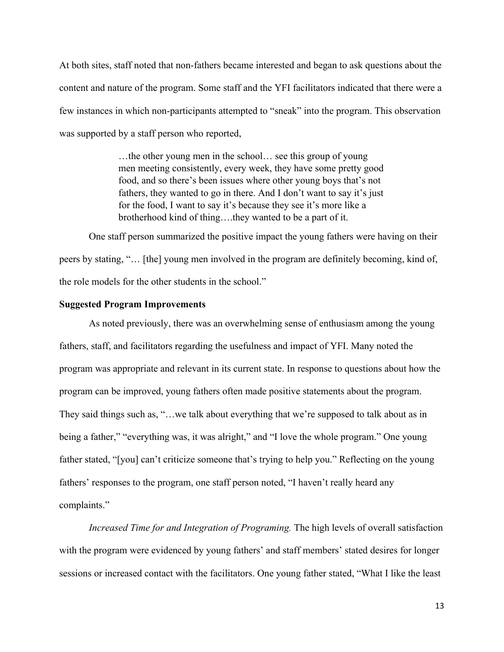At both sites, staff noted that non-fathers became interested and began to ask questions about the content and nature of the program. Some staff and the YFI facilitators indicated that there were a few instances in which non-participants attempted to "sneak" into the program. This observation was supported by a staff person who reported,

> …the other young men in the school… see this group of young men meeting consistently, every week, they have some pretty good food, and so there's been issues where other young boys that's not fathers, they wanted to go in there. And I don't want to say it's just for the food, I want to say it's because they see it's more like a brotherhood kind of thing….they wanted to be a part of it.

One staff person summarized the positive impact the young fathers were having on their peers by stating, "… [the] young men involved in the program are definitely becoming, kind of, the role models for the other students in the school."

#### **Suggested Program Improvements**

As noted previously, there was an overwhelming sense of enthusiasm among the young fathers, staff, and facilitators regarding the usefulness and impact of YFI. Many noted the program was appropriate and relevant in its current state. In response to questions about how the program can be improved, young fathers often made positive statements about the program. They said things such as, "…we talk about everything that we're supposed to talk about as in being a father," "everything was, it was alright," and "I love the whole program." One young father stated, "[you] can't criticize someone that's trying to help you." Reflecting on the young fathers' responses to the program, one staff person noted, "I haven't really heard any complaints."

*Increased Time for and Integration of Programing.* The high levels of overall satisfaction with the program were evidenced by young fathers' and staff members' stated desires for longer sessions or increased contact with the facilitators. One young father stated, "What I like the least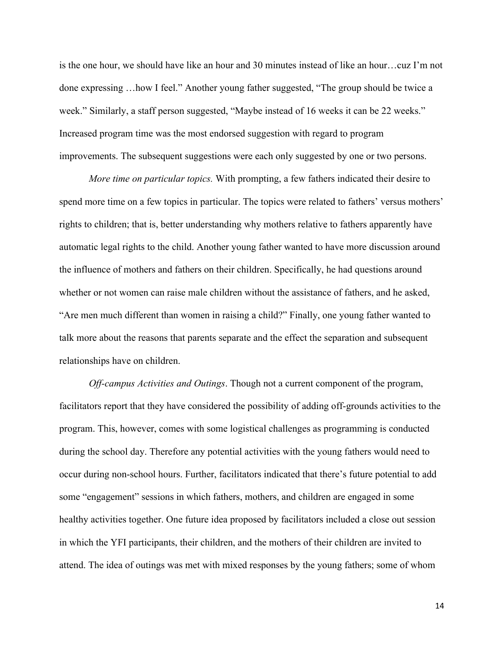is the one hour, we should have like an hour and 30 minutes instead of like an hour…cuz I'm not done expressing …how I feel." Another young father suggested, "The group should be twice a week." Similarly, a staff person suggested, "Maybe instead of 16 weeks it can be 22 weeks." Increased program time was the most endorsed suggestion with regard to program improvements. The subsequent suggestions were each only suggested by one or two persons.

*More time on particular topics.* With prompting, a few fathers indicated their desire to spend more time on a few topics in particular. The topics were related to fathers' versus mothers' rights to children; that is, better understanding why mothers relative to fathers apparently have automatic legal rights to the child. Another young father wanted to have more discussion around the influence of mothers and fathers on their children. Specifically, he had questions around whether or not women can raise male children without the assistance of fathers, and he asked, "Are men much different than women in raising a child?" Finally, one young father wanted to talk more about the reasons that parents separate and the effect the separation and subsequent relationships have on children.

*Off-campus Activities and Outings*. Though not a current component of the program, facilitators report that they have considered the possibility of adding off-grounds activities to the program. This, however, comes with some logistical challenges as programming is conducted during the school day. Therefore any potential activities with the young fathers would need to occur during non-school hours. Further, facilitators indicated that there's future potential to add some "engagement" sessions in which fathers, mothers, and children are engaged in some healthy activities together. One future idea proposed by facilitators included a close out session in which the YFI participants, their children, and the mothers of their children are invited to attend. The idea of outings was met with mixed responses by the young fathers; some of whom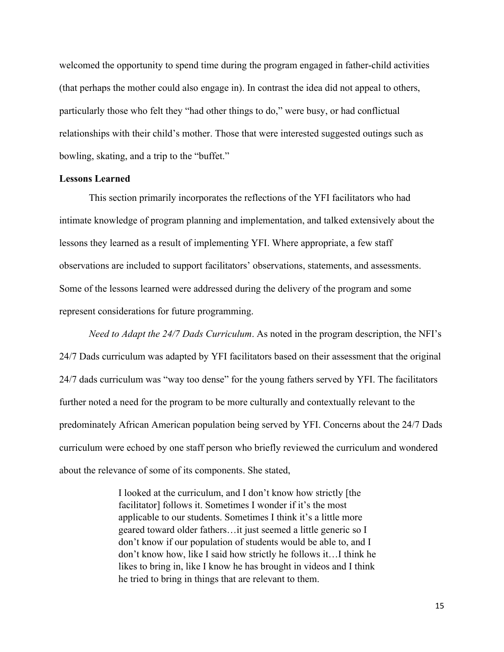welcomed the opportunity to spend time during the program engaged in father-child activities (that perhaps the mother could also engage in). In contrast the idea did not appeal to others, particularly those who felt they "had other things to do," were busy, or had conflictual relationships with their child's mother. Those that were interested suggested outings such as bowling, skating, and a trip to the "buffet."

#### **Lessons Learned**

This section primarily incorporates the reflections of the YFI facilitators who had intimate knowledge of program planning and implementation, and talked extensively about the lessons they learned as a result of implementing YFI. Where appropriate, a few staff observations are included to support facilitators' observations, statements, and assessments. Some of the lessons learned were addressed during the delivery of the program and some represent considerations for future programming.

*Need to Adapt the 24/7 Dads Curriculum*. As noted in the program description, the NFI's 24/7 Dads curriculum was adapted by YFI facilitators based on their assessment that the original 24/7 dads curriculum was "way too dense" for the young fathers served by YFI. The facilitators further noted a need for the program to be more culturally and contextually relevant to the predominately African American population being served by YFI. Concerns about the 24/7 Dads curriculum were echoed by one staff person who briefly reviewed the curriculum and wondered about the relevance of some of its components. She stated,

> I looked at the curriculum, and I don't know how strictly [the facilitator] follows it. Sometimes I wonder if it's the most applicable to our students. Sometimes I think it's a little more geared toward older fathers…it just seemed a little generic so I don't know if our population of students would be able to, and I don't know how, like I said how strictly he follows it…I think he likes to bring in, like I know he has brought in videos and I think he tried to bring in things that are relevant to them.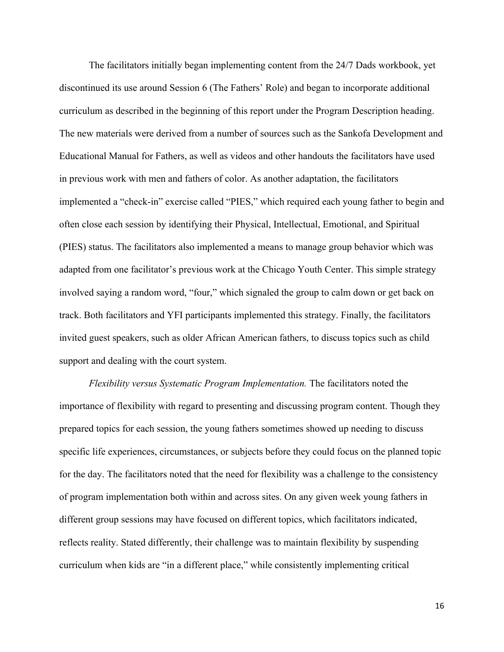The facilitators initially began implementing content from the 24/7 Dads workbook, yet discontinued its use around Session 6 (The Fathers' Role) and began to incorporate additional curriculum as described in the beginning of this report under the Program Description heading. The new materials were derived from a number of sources such as the Sankofa Development and Educational Manual for Fathers, as well as videos and other handouts the facilitators have used in previous work with men and fathers of color. As another adaptation, the facilitators implemented a "check-in" exercise called "PIES," which required each young father to begin and often close each session by identifying their Physical, Intellectual, Emotional, and Spiritual (PIES) status. The facilitators also implemented a means to manage group behavior which was adapted from one facilitator's previous work at the Chicago Youth Center. This simple strategy involved saying a random word, "four," which signaled the group to calm down or get back on track. Both facilitators and YFI participants implemented this strategy. Finally, the facilitators invited guest speakers, such as older African American fathers, to discuss topics such as child support and dealing with the court system.

*Flexibility versus Systematic Program Implementation.* The facilitators noted the importance of flexibility with regard to presenting and discussing program content. Though they prepared topics for each session, the young fathers sometimes showed up needing to discuss specific life experiences, circumstances, or subjects before they could focus on the planned topic for the day. The facilitators noted that the need for flexibility was a challenge to the consistency of program implementation both within and across sites. On any given week young fathers in different group sessions may have focused on different topics, which facilitators indicated, reflects reality. Stated differently, their challenge was to maintain flexibility by suspending curriculum when kids are "in a different place," while consistently implementing critical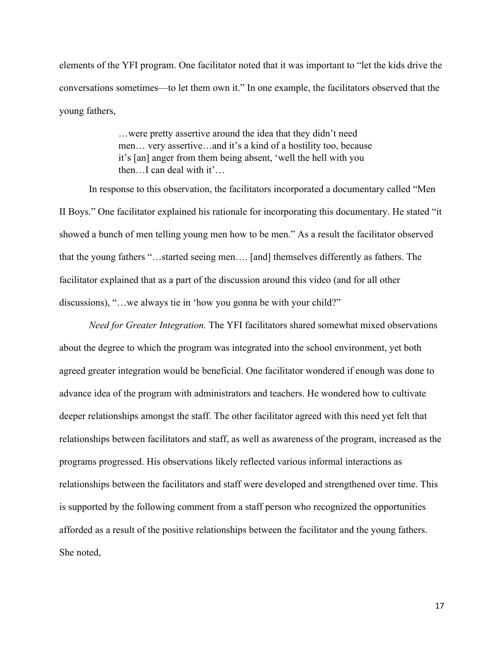elements of the YFI program. One facilitator noted that it was important to "let the kids drive the conversations sometimes—to let them own it." In one example, the facilitators observed that the young fathers,

> …were pretty assertive around the idea that they didn't need men… very assertive…and it's a kind of a hostility too, because it's [an] anger from them being absent, 'well the hell with you then…I can deal with it'…

In response to this observation, the facilitators incorporated a documentary called "Men II Boys." One facilitator explained his rationale for incorporating this documentary. He stated "it showed a bunch of men telling young men how to be men." As a result the facilitator observed that the young fathers "…started seeing men…. [and] themselves differently as fathers. The facilitator explained that as a part of the discussion around this video (and for all other discussions), "... we always tie in 'how you gonna be with your child?"

*Need for Greater Integration.* The YFI facilitators shared somewhat mixed observations about the degree to which the program was integrated into the school environment, yet both agreed greater integration would be beneficial. One facilitator wondered if enough was done to advance idea of the program with administrators and teachers. He wondered how to cultivate deeper relationships amongst the staff. The other facilitator agreed with this need yet felt that relationships between facilitators and staff, as well as awareness of the program, increased as the programs progressed. His observations likely reflected various informal interactions as relationships between the facilitators and staff were developed and strengthened over time. This is supported by the following comment from a staff person who recognized the opportunities afforded as a result of the positive relationships between the facilitator and the young fathers. She noted,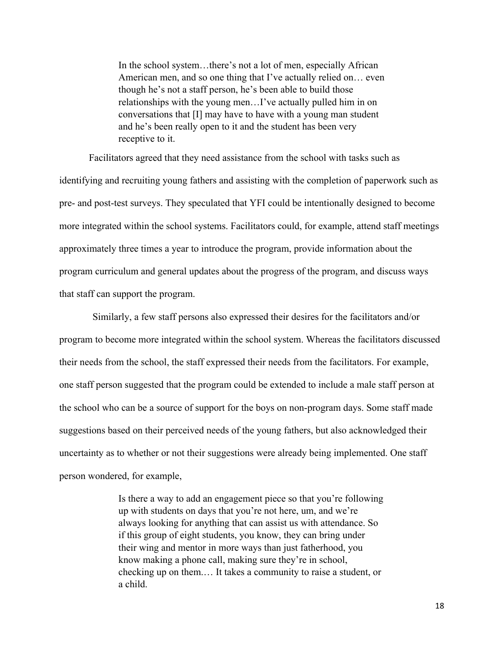In the school system…there's not a lot of men, especially African American men, and so one thing that I've actually relied on… even though he's not a staff person, he's been able to build those relationships with the young men…I've actually pulled him in on conversations that [I] may have to have with a young man student and he's been really open to it and the student has been very receptive to it.

Facilitators agreed that they need assistance from the school with tasks such as identifying and recruiting young fathers and assisting with the completion of paperwork such as pre- and post-test surveys. They speculated that YFI could be intentionally designed to become more integrated within the school systems. Facilitators could, for example, attend staff meetings approximately three times a year to introduce the program, provide information about the program curriculum and general updates about the progress of the program, and discuss ways that staff can support the program.

Similarly, a few staff persons also expressed their desires for the facilitators and/or program to become more integrated within the school system. Whereas the facilitators discussed their needs from the school, the staff expressed their needs from the facilitators. For example, one staff person suggested that the program could be extended to include a male staff person at the school who can be a source of support for the boys on non-program days. Some staff made suggestions based on their perceived needs of the young fathers, but also acknowledged their uncertainty as to whether or not their suggestions were already being implemented. One staff person wondered, for example,

> Is there a way to add an engagement piece so that you're following up with students on days that you're not here, um, and we're always looking for anything that can assist us with attendance. So if this group of eight students, you know, they can bring under their wing and mentor in more ways than just fatherhood, you know making a phone call, making sure they're in school, checking up on them.… It takes a community to raise a student, or a child.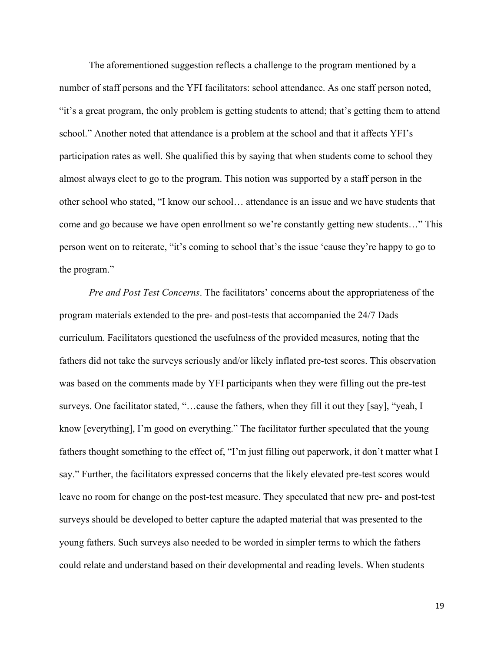The aforementioned suggestion reflects a challenge to the program mentioned by a number of staff persons and the YFI facilitators: school attendance. As one staff person noted, "it's a great program, the only problem is getting students to attend; that's getting them to attend school." Another noted that attendance is a problem at the school and that it affects YFI's participation rates as well. She qualified this by saying that when students come to school they almost always elect to go to the program. This notion was supported by a staff person in the other school who stated, "I know our school… attendance is an issue and we have students that come and go because we have open enrollment so we're constantly getting new students…" This person went on to reiterate, "it's coming to school that's the issue 'cause they're happy to go to the program."

*Pre and Post Test Concerns*. The facilitators' concerns about the appropriateness of the program materials extended to the pre- and post-tests that accompanied the 24/7 Dads curriculum. Facilitators questioned the usefulness of the provided measures, noting that the fathers did not take the surveys seriously and/or likely inflated pre-test scores. This observation was based on the comments made by YFI participants when they were filling out the pre-test surveys. One facilitator stated, "…cause the fathers, when they fill it out they [say], "yeah, I know [everything], I'm good on everything." The facilitator further speculated that the young fathers thought something to the effect of, "I'm just filling out paperwork, it don't matter what I say." Further, the facilitators expressed concerns that the likely elevated pre-test scores would leave no room for change on the post-test measure. They speculated that new pre- and post-test surveys should be developed to better capture the adapted material that was presented to the young fathers. Such surveys also needed to be worded in simpler terms to which the fathers could relate and understand based on their developmental and reading levels. When students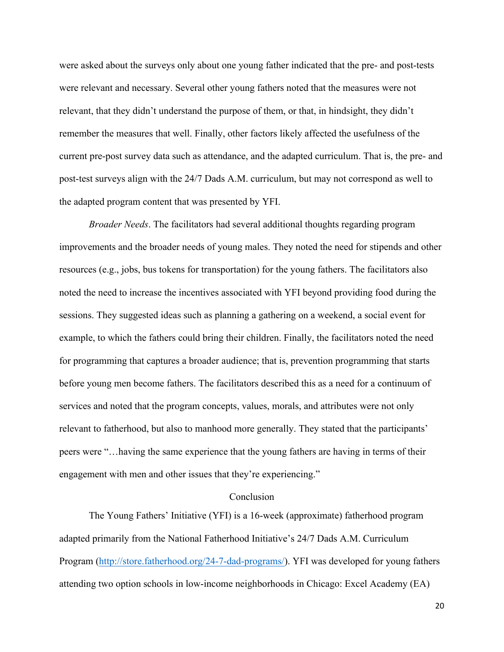were asked about the surveys only about one young father indicated that the pre- and post-tests were relevant and necessary. Several other young fathers noted that the measures were not relevant, that they didn't understand the purpose of them, or that, in hindsight, they didn't remember the measures that well. Finally, other factors likely affected the usefulness of the current pre-post survey data such as attendance, and the adapted curriculum. That is, the pre- and post-test surveys align with the 24/7 Dads A.M. curriculum, but may not correspond as well to the adapted program content that was presented by YFI.

*Broader Needs*. The facilitators had several additional thoughts regarding program improvements and the broader needs of young males. They noted the need for stipends and other resources (e.g., jobs, bus tokens for transportation) for the young fathers. The facilitators also noted the need to increase the incentives associated with YFI beyond providing food during the sessions. They suggested ideas such as planning a gathering on a weekend, a social event for example, to which the fathers could bring their children. Finally, the facilitators noted the need for programming that captures a broader audience; that is, prevention programming that starts before young men become fathers. The facilitators described this as a need for a continuum of services and noted that the program concepts, values, morals, and attributes were not only relevant to fatherhood, but also to manhood more generally. They stated that the participants' peers were "…having the same experience that the young fathers are having in terms of their engagement with men and other issues that they're experiencing."

#### Conclusion

The Young Fathers' Initiative (YFI) is a 16-week (approximate) fatherhood program adapted primarily from the National Fatherhood Initiative's 24/7 Dads A.M. Curriculum Program (http://store.fatherhood.org/24-7-dad-programs/). YFI was developed for young fathers attending two option schools in low-income neighborhoods in Chicago: Excel Academy (EA)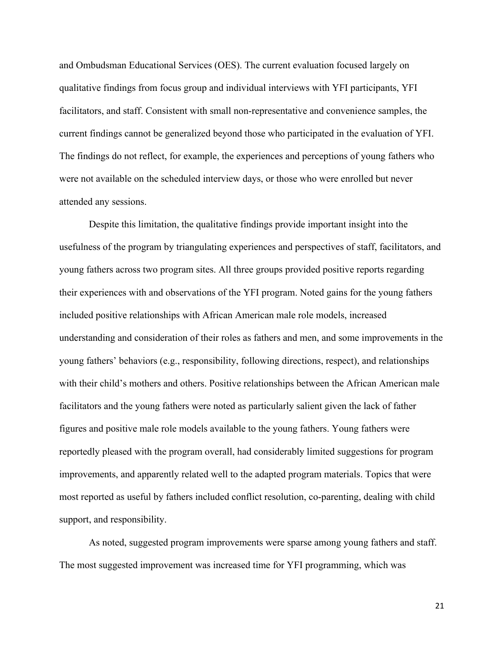and Ombudsman Educational Services (OES). The current evaluation focused largely on qualitative findings from focus group and individual interviews with YFI participants, YFI facilitators, and staff. Consistent with small non-representative and convenience samples, the current findings cannot be generalized beyond those who participated in the evaluation of YFI. The findings do not reflect, for example, the experiences and perceptions of young fathers who were not available on the scheduled interview days, or those who were enrolled but never attended any sessions.

Despite this limitation, the qualitative findings provide important insight into the usefulness of the program by triangulating experiences and perspectives of staff, facilitators, and young fathers across two program sites. All three groups provided positive reports regarding their experiences with and observations of the YFI program. Noted gains for the young fathers included positive relationships with African American male role models, increased understanding and consideration of their roles as fathers and men, and some improvements in the young fathers' behaviors (e.g., responsibility, following directions, respect), and relationships with their child's mothers and others. Positive relationships between the African American male facilitators and the young fathers were noted as particularly salient given the lack of father figures and positive male role models available to the young fathers. Young fathers were reportedly pleased with the program overall, had considerably limited suggestions for program improvements, and apparently related well to the adapted program materials. Topics that were most reported as useful by fathers included conflict resolution, co-parenting, dealing with child support, and responsibility.

As noted, suggested program improvements were sparse among young fathers and staff. The most suggested improvement was increased time for YFI programming, which was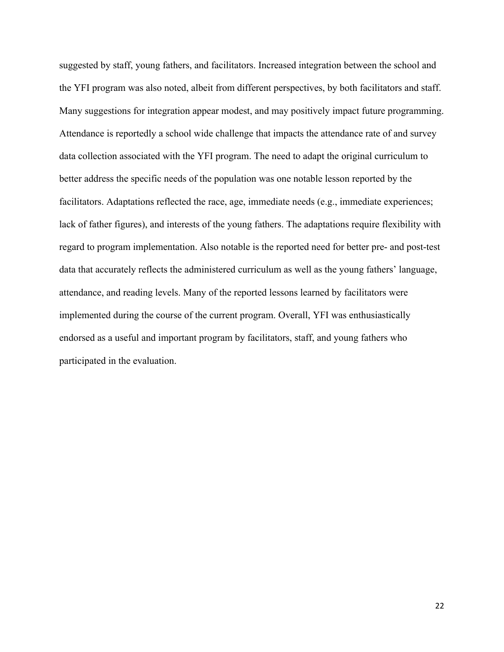suggested by staff, young fathers, and facilitators. Increased integration between the school and the YFI program was also noted, albeit from different perspectives, by both facilitators and staff. Many suggestions for integration appear modest, and may positively impact future programming. Attendance is reportedly a school wide challenge that impacts the attendance rate of and survey data collection associated with the YFI program. The need to adapt the original curriculum to better address the specific needs of the population was one notable lesson reported by the facilitators. Adaptations reflected the race, age, immediate needs (e.g., immediate experiences; lack of father figures), and interests of the young fathers. The adaptations require flexibility with regard to program implementation. Also notable is the reported need for better pre- and post-test data that accurately reflects the administered curriculum as well as the young fathers' language, attendance, and reading levels. Many of the reported lessons learned by facilitators were implemented during the course of the current program. Overall, YFI was enthusiastically endorsed as a useful and important program by facilitators, staff, and young fathers who participated in the evaluation.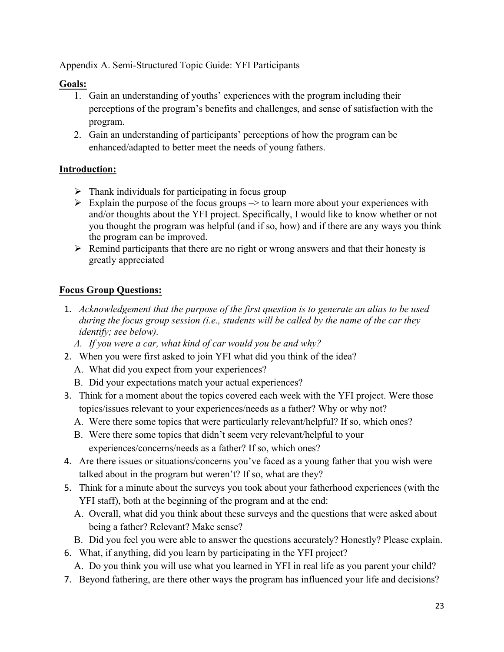Appendix A. Semi-Structured Topic Guide: YFI Participants

### **Goals:**

- 1. Gain an understanding of youths' experiences with the program including their perceptions of the program's benefits and challenges, and sense of satisfaction with the program.
- 2. Gain an understanding of participants' perceptions of how the program can be enhanced/adapted to better meet the needs of young fathers.

### **Introduction:**

- $\triangleright$  Thank individuals for participating in focus group
- $\triangleright$  Explain the purpose of the focus groups  $\rightarrow$  to learn more about your experiences with and/or thoughts about the YFI project. Specifically, I would like to know whether or not you thought the program was helpful (and if so, how) and if there are any ways you think the program can be improved.
- $\triangleright$  Remind participants that there are no right or wrong answers and that their honesty is greatly appreciated

## **Focus Group Questions:**

- 1. *Acknowledgement that the purpose of the first question is to generate an alias to be used during the focus group session (i.e., students will be called by the name of the car they identify; see below).*
	- *A. If you were a car, what kind of car would you be and why?*
- 2. When you were first asked to join YFI what did you think of the idea?
	- A. What did you expect from your experiences?
	- B. Did your expectations match your actual experiences?
- 3. Think for a moment about the topics covered each week with the YFI project. Were those topics/issues relevant to your experiences/needs as a father? Why or why not?
	- A. Were there some topics that were particularly relevant/helpful? If so, which ones?
	- B. Were there some topics that didn't seem very relevant/helpful to your experiences/concerns/needs as a father? If so, which ones?
- 4. Are there issues or situations/concerns you've faced as a young father that you wish were talked about in the program but weren't? If so, what are they?
- 5. Think for a minute about the surveys you took about your fatherhood experiences (with the YFI staff), both at the beginning of the program and at the end:
	- A. Overall, what did you think about these surveys and the questions that were asked about being a father? Relevant? Make sense?
	- B. Did you feel you were able to answer the questions accurately? Honestly? Please explain.
- 6. What, if anything, did you learn by participating in the YFI project?
	- A. Do you think you will use what you learned in YFI in real life as you parent your child?
- 7. Beyond fathering, are there other ways the program has influenced your life and decisions?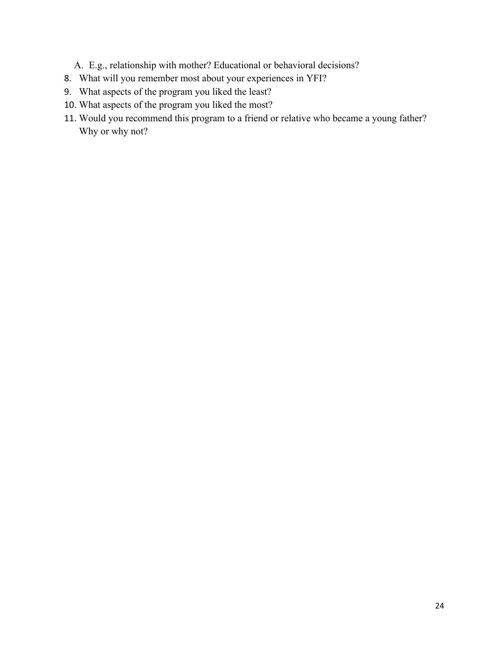- A. E.g., relationship with mother? Educational or behavioral decisions?
- 8. What will you remember most about your experiences in YFI?
- 9. What aspects of the program you liked the least?
- 10. What aspects of the program you liked the most?
- 11. Would you recommend this program to a friend or relative who became a young father? Why or why not?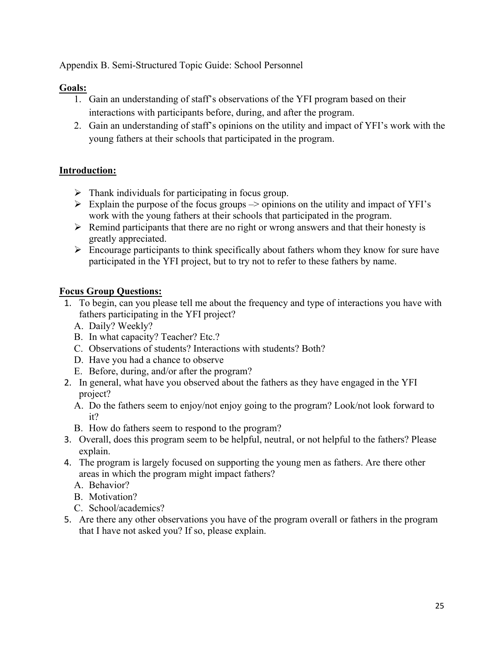Appendix B. Semi-Structured Topic Guide: School Personnel

### **Goals:**

- 1. Gain an understanding of staff's observations of the YFI program based on their interactions with participants before, during, and after the program.
- 2. Gain an understanding of staff's opinions on the utility and impact of YFI's work with the young fathers at their schools that participated in the program.

### **Introduction:**

- $\triangleright$  Thank individuals for participating in focus group.
- $\triangleright$  Explain the purpose of the focus groups  $\rightarrow$  opinions on the utility and impact of YFI's work with the young fathers at their schools that participated in the program.
- $\triangleright$  Remind participants that there are no right or wrong answers and that their honesty is greatly appreciated.
- $\triangleright$  Encourage participants to think specifically about fathers whom they know for sure have participated in the YFI project, but to try not to refer to these fathers by name.

### **Focus Group Questions:**

- 1. To begin, can you please tell me about the frequency and type of interactions you have with fathers participating in the YFI project?
	- A. Daily? Weekly?
	- B. In what capacity? Teacher? Etc.?
	- C. Observations of students? Interactions with students? Both?
	- D. Have you had a chance to observe
	- E. Before, during, and/or after the program?
- 2. In general, what have you observed about the fathers as they have engaged in the YFI project?
	- A. Do the fathers seem to enjoy/not enjoy going to the program? Look/not look forward to it?
	- B. How do fathers seem to respond to the program?
- 3. Overall, does this program seem to be helpful, neutral, or not helpful to the fathers? Please explain.
- 4. The program is largely focused on supporting the young men as fathers. Are there other areas in which the program might impact fathers?
	- A. Behavior?
	- B. Motivation?
	- C. School/academics?
- 5. Are there any other observations you have of the program overall or fathers in the program that I have not asked you? If so, please explain.